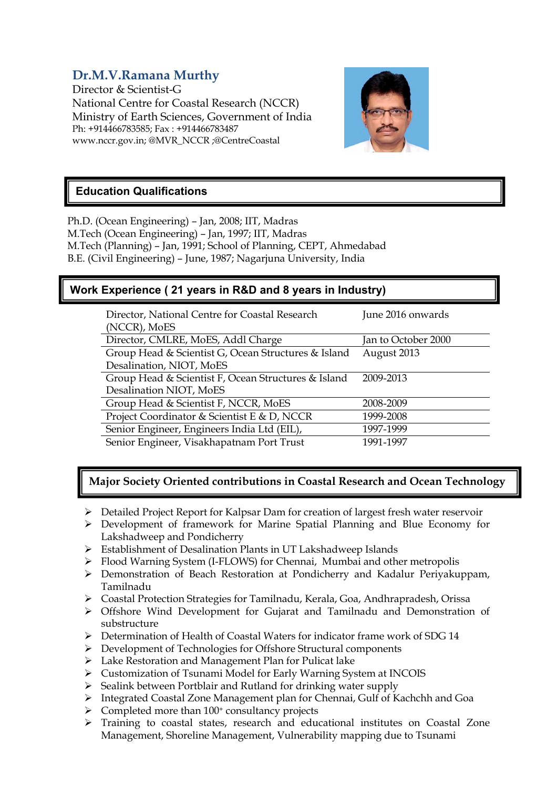# **Dr.M.V.Ramana Murthy**

Director & Scientist-G National Centre for Coastal Research (NCCR) Ministry of Earth Sciences, Government of India Ph: +914466783585; Fax : +914466783487 www.nccr.gov.in; @MVR\_NCCR ;@CentreCoastal



### **Education Qualifications**

Ph.D. (Ocean Engineering) – Jan, 2008; IIT, Madras M.Tech (Ocean Engineering) – Jan, 1997; IIT, Madras M.Tech (Planning) – Jan, 1991; School of Planning, CEPT, Ahmedabad B.E. (Civil Engineering) – June, 1987; Nagarjuna University, India

### **Work Experience ( 21 years in R&D and 8 years in Industry)**

| Director, National Centre for Coastal Research<br>(NCCR), MoES | June 2016 onwards   |
|----------------------------------------------------------------|---------------------|
| Director, CMLRE, MoES, Addl Charge                             | Jan to October 2000 |
| Group Head & Scientist G, Ocean Structures & Island            | August 2013         |
| Desalination, NIOT, MoES                                       |                     |
| Group Head & Scientist F, Ocean Structures & Island            | 2009-2013           |
| Desalination NIOT, MoES                                        |                     |
| Group Head & Scientist F, NCCR, MoES                           | 2008-2009           |
| Project Coordinator & Scientist E & D, NCCR                    | 1999-2008           |
| Senior Engineer, Engineers India Ltd (EIL),                    | 1997-1999           |
| Senior Engineer, Visakhapatnam Port Trust                      | 1991-1997           |

## **Major Society Oriented contributions in Coastal Research and Ocean Technology**

- $\triangleright$  Detailed Project Report for Kalpsar Dam for creation of largest fresh water reservoir
- Ø Development of framework for Marine Spatial Planning and Blue Economy for Lakshadweep and Pondicherry
- Ø Establishment of Desalination Plants in UT Lakshadweep Islands
- Ø Flood Warning System (I-FLOWS) for Chennai, Mumbai and other metropolis
- Ø Demonstration of Beach Restoration at Pondicherry and Kadalur Periyakuppam, Tamilnadu
- Ø Coastal Protection Strategies for Tamilnadu, Kerala, Goa, Andhrapradesh, Orissa
- Ø Offshore Wind Development for Gujarat and Tamilnadu and Demonstration of substructure
- $\triangleright$  Determination of Health of Coastal Waters for indicator frame work of SDG 14
- Ø Development of Technologies for Offshore Structural components
- $\triangleright$  Lake Restoration and Management Plan for Pulicat lake
- Ø Customization of Tsunami Model for Early Warning System at INCOIS
- $\triangleright$  Sealink between Portblair and Rutland for drinking water supply
- Ø Integrated Coastal Zone Management plan for Chennai, Gulf of Kachchh and Goa
- $\triangleright$  Completed more than 100+ consultancy projects
- Ø Training to coastal states, research and educational institutes on Coastal Zone Management, Shoreline Management, Vulnerability mapping due to Tsunami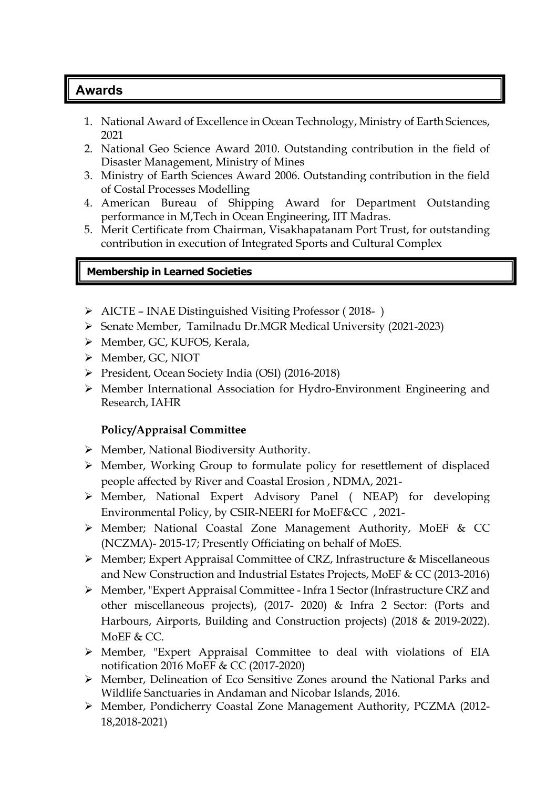## **Awards**

- 1. National Award of Excellence in Ocean Technology, Ministry of Earth Sciences, 2021
- 2. National Geo Science Award 2010. Outstanding contribution in the field of Disaster Management, Ministry of Mines
- 3. Ministry of Earth Sciences Award 2006. Outstanding contribution in the field of Costal Processes Modelling
- 4. American Bureau of Shipping Award for Department Outstanding performance in M,Tech in Ocean Engineering, IIT Madras.
- 5. Merit Certificate from Chairman, Visakhapatanam Port Trust, for outstanding contribution in execution of Integrated Sports and Cultural Complex

### **Membership in Learned Societies**

- Ø AICTE INAE Distinguished Visiting Professor ( 2018- )
- Ø Senate Member, Tamilnadu Dr.MGR Medical University (2021-2023)
- Ø Member, GC, KUFOS, Kerala,
- Ø Member, GC, NIOT
- Ø President, Ocean Society India (OSI) (2016-2018)
- Ø Member International Association for Hydro-Environment Engineering and Research, IAHR

## **Policy/Appraisal Committee**

- Ø Member, National Biodiversity Authority.
- Ø Member, Working Group to formulate policy for resettlement of displaced people affected by River and Coastal Erosion , NDMA, 2021-
- Ø Member, National Expert Advisory Panel ( NEAP) for developing Environmental Policy, by CSIR-NEERI for MoEF&CC , 2021-
- Ø Member; National Coastal Zone Management Authority, MoEF & CC (NCZMA)- 2015-17; Presently Officiating on behalf of MoES.
- Ø Member; Expert Appraisal Committee of CRZ, Infrastructure & Miscellaneous and New Construction and Industrial Estates Projects, MoEF & CC (2013-2016)
- Ø Member, "Expert Appraisal Committee Infra 1 Sector (Infrastructure CRZ and other miscellaneous projects), (2017- 2020) & Infra 2 Sector: (Ports and Harbours, Airports, Building and Construction projects) (2018 & 2019-2022). MoEF & CC.
- Ø Member, "Expert Appraisal Committee to deal with violations of EIA notification 2016 MoEF & CC (2017-2020)
- Ø Member, Delineation of Eco Sensitive Zones around the National Parks and Wildlife Sanctuaries in Andaman and Nicobar Islands, 2016.
- Ø Member, Pondicherry Coastal Zone Management Authority, PCZMA (2012- 18,2018-2021)